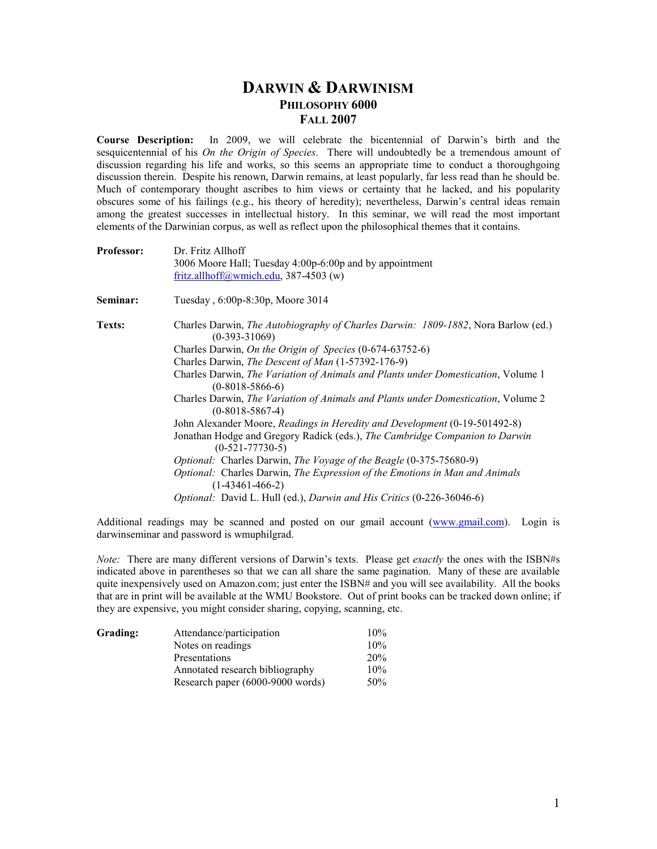## **DARWIN & DARWINISM PHILOSOPHY 6000 FALL 2007**

**Course Description:** In 2009, we will celebrate the bicentennial of Darwin's birth and the sesquicentennial of his *On the Origin of Species*. There will undoubtedly be a tremendous amount of discussion regarding his life and works, so this seems an appropriate time to conduct a thoroughgoing discussion therein. Despite his renown, Darwin remains, at least popularly, far less read than he should be. Much of contemporary thought ascribes to him views or certainty that he lacked, and his popularity obscures some of his failings (e.g., his theory of heredity); nevertheless, Darwin's central ideas remain among the greatest successes in intellectual history. In this seminar, we will read the most important elements of the Darwinian corpus, as well as reflect upon the philosophical themes that it contains.

| <b>Professor:</b> | Dr. Fritz Allhoff<br>3006 Moore Hall; Tuesday 4:00p-6:00p and by appointment                           |  |  |  |
|-------------------|--------------------------------------------------------------------------------------------------------|--|--|--|
|                   |                                                                                                        |  |  |  |
|                   | fritz.allhoff@wmich.edu, 387-4503 (w)                                                                  |  |  |  |
| Seminar:          | Tuesday, 6:00p-8:30p, Moore 3014                                                                       |  |  |  |
| Texts:            | Charles Darwin, The Autobiography of Charles Darwin: 1809-1882, Nora Barlow (ed.)<br>$(0-393-31069)$   |  |  |  |
|                   | Charles Darwin, On the Origin of Species (0-674-63752-6)                                               |  |  |  |
|                   | Charles Darwin, The Descent of Man (1-57392-176-9)                                                     |  |  |  |
|                   | Charles Darwin, The Variation of Animals and Plants under Domestication, Volume 1<br>$(0-8018-5866-6)$ |  |  |  |
|                   | Charles Darwin, The Variation of Animals and Plants under Domestication, Volume 2<br>$(0-8018-5867-4)$ |  |  |  |
|                   | John Alexander Moore, Readings in Heredity and Development (0-19-501492-8)                             |  |  |  |
|                   | Jonathan Hodge and Gregory Radick (eds.), The Cambridge Companion to Darwin<br>$(0-521-77730-5)$       |  |  |  |
|                   | <i>Optional:</i> Charles Darwin, <i>The Voyage of the Beagle</i> (0-375-75680-9)                       |  |  |  |
|                   | Optional: Charles Darwin, The Expression of the Emotions in Man and Animals<br>$(1-43461-466-2)$       |  |  |  |
|                   | <i>Optional:</i> David L. Hull (ed.), <i>Darwin and His Critics</i> (0-226-36046-6)                    |  |  |  |

Additional readings may be scanned and posted on our gmail account (www.gmail.com). Login is darwinseminar and password is wmuphilgrad.

*Note:* There are many different versions of Darwin's texts. Please get *exactly* the ones with the ISBN#s indicated above in parentheses so that we can all share the same pagination. Many of these are available quite inexpensively used on Amazon.com; just enter the ISBN# and you will see availability. All the books that are in print will be available at the WMU Bookstore. Out of print books can be tracked down online; if they are expensive, you might consider sharing, copying, scanning, etc.

| Grading: | Attendance/participation         | 10% |
|----------|----------------------------------|-----|
|          | Notes on readings                | 10% |
|          | Presentations                    | 20% |
|          | Annotated research bibliography  | 10% |
|          | Research paper (6000-9000 words) | 50% |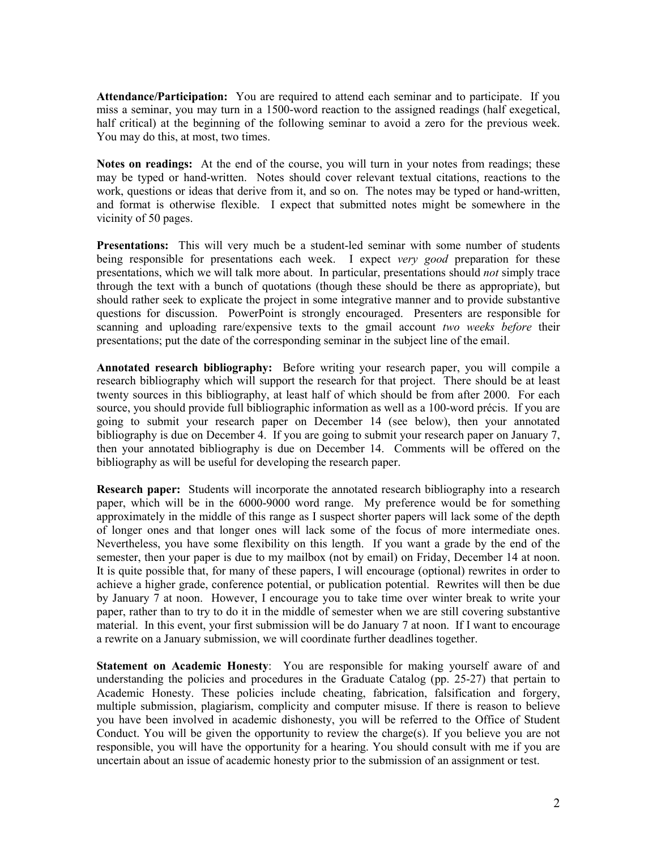**Attendance/Participation:** You are required to attend each seminar and to participate. If you miss a seminar, you may turn in a 1500-word reaction to the assigned readings (half exegetical, half critical) at the beginning of the following seminar to avoid a zero for the previous week. You may do this, at most, two times.

Notes on readings: At the end of the course, you will turn in your notes from readings; these may be typed or hand-written. Notes should cover relevant textual citations, reactions to the work, questions or ideas that derive from it, and so on. The notes may be typed or hand-written, and format is otherwise flexible. I expect that submitted notes might be somewhere in the vicinity of 50 pages.

**Presentations:** This will very much be a student-led seminar with some number of students being responsible for presentations each week. I expect *very good* preparation for these presentations, which we will talk more about. In particular, presentations should *not* simply trace through the text with a bunch of quotations (though these should be there as appropriate), but should rather seek to explicate the project in some integrative manner and to provide substantive questions for discussion. PowerPoint is strongly encouraged. Presenters are responsible for scanning and uploading rare/expensive texts to the gmail account *two weeks before* their presentations; put the date of the corresponding seminar in the subject line of the email.

**Annotated research bibliography:** Before writing your research paper, you will compile a research bibliography which will support the research for that project. There should be at least twenty sources in this bibliography, at least half of which should be from after 2000. For each source, you should provide full bibliographic information as well as a 100-word précis. If you are going to submit your research paper on December 14 (see below), then your annotated bibliography is due on December 4. If you are going to submit your research paper on January 7, then your annotated bibliography is due on December 14. Comments will be offered on the bibliography as will be useful for developing the research paper.

**Research paper:** Students will incorporate the annotated research bibliography into a research paper, which will be in the 6000-9000 word range. My preference would be for something approximately in the middle of this range as I suspect shorter papers will lack some of the depth of longer ones and that longer ones will lack some of the focus of more intermediate ones. Nevertheless, you have some flexibility on this length. If you want a grade by the end of the semester, then your paper is due to my mailbox (not by email) on Friday, December 14 at noon. It is quite possible that, for many of these papers, I will encourage (optional) rewrites in order to achieve a higher grade, conference potential, or publication potential. Rewrites will then be due by January 7 at noon. However, I encourage you to take time over winter break to write your paper, rather than to try to do it in the middle of semester when we are still covering substantive material. In this event, your first submission will be do January 7 at noon. If I want to encourage a rewrite on a January submission, we will coordinate further deadlines together.

**Statement on Academic Honesty**: You are responsible for making yourself aware of and understanding the policies and procedures in the Graduate Catalog (pp. 25-27) that pertain to Academic Honesty. These policies include cheating, fabrication, falsification and forgery, multiple submission, plagiarism, complicity and computer misuse. If there is reason to believe you have been involved in academic dishonesty, you will be referred to the Office of Student Conduct. You will be given the opportunity to review the charge(s). If you believe you are not responsible, you will have the opportunity for a hearing. You should consult with me if you are uncertain about an issue of academic honesty prior to the submission of an assignment or test.